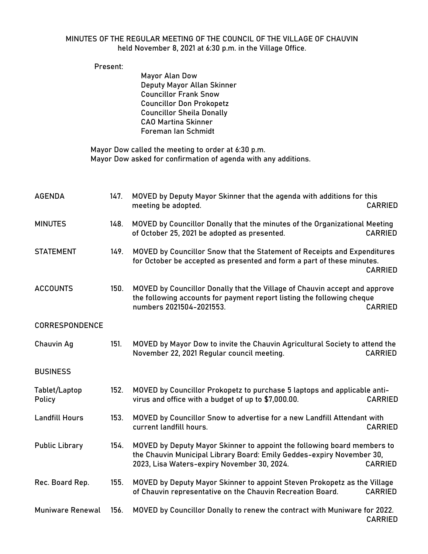## MINUTES OF THE REGULAR MEETING OF THE COUNCIL OF THE VILLAGE OF CHAUVIN held November 8, 2021 at 6:30 p.m. in the Village Office.

|                         | Present: |                                                                                                                                                                                                          |                |
|-------------------------|----------|----------------------------------------------------------------------------------------------------------------------------------------------------------------------------------------------------------|----------------|
|                         |          | Mayor Alan Dow<br>Deputy Mayor Allan Skinner<br><b>Councillor Frank Snow</b><br><b>Councillor Don Prokopetz</b><br><b>Councillor Sheila Donally</b><br><b>CAO Martina Skinner</b><br>Foreman Ian Schmidt |                |
|                         |          | Mayor Dow called the meeting to order at 6:30 p.m.<br>Mayor Dow asked for confirmation of agenda with any additions.                                                                                     |                |
| <b>AGENDA</b>           | 147.     | MOVED by Deputy Mayor Skinner that the agenda with additions for this<br>meeting be adopted.                                                                                                             | <b>CARRIED</b> |
| <b>MINUTES</b>          | 148.     | MOVED by Councillor Donally that the minutes of the Organizational Meeting<br>of October 25, 2021 be adopted as presented.                                                                               | <b>CARRIED</b> |
| <b>STATEMENT</b>        | 149.     | MOVED by Councillor Snow that the Statement of Receipts and Expenditures<br>for October be accepted as presented and form a part of these minutes.                                                       | <b>CARRIED</b> |
| <b>ACCOUNTS</b>         | 150.     | MOVED by Councillor Donally that the Village of Chauvin accept and approve<br>the following accounts for payment report listing the following cheque<br>numbers 2021504-2021553.                         | <b>CARRIED</b> |
| CORRESPONDENCE          |          |                                                                                                                                                                                                          |                |
| Chauvin Ag              | 151.     | MOVED by Mayor Dow to invite the Chauvin Agricultural Society to attend the<br>November 22, 2021 Regular council meeting.                                                                                | <b>CARRIED</b> |
| <b>BUSINESS</b>         |          |                                                                                                                                                                                                          |                |
| Tablet/Laptop<br>Policy | 152.     | MOVED by Councillor Prokopetz to purchase 5 laptops and applicable anti-<br>virus and office with a budget of up to \$7,000.00.                                                                          | <b>CARRIED</b> |
| <b>Landfill Hours</b>   | 153.     | MOVED by Councillor Snow to advertise for a new Landfill Attendant with<br>current landfill hours.                                                                                                       | <b>CARRIED</b> |
| <b>Public Library</b>   | 154.     | MOVED by Deputy Mayor Skinner to appoint the following board members to<br>the Chauvin Municipal Library Board: Emily Geddes-expiry November 30,<br>2023, Lisa Waters-expiry November 30, 2024.          | <b>CARRIED</b> |
| Rec. Board Rep.         | 155.     | MOVED by Deputy Mayor Skinner to appoint Steven Prokopetz as the Village<br>of Chauvin representative on the Chauvin Recreation Board.                                                                   | <b>CARRIED</b> |
| Muniware Renewal        | 156.     | MOVED by Councillor Donally to renew the contract with Muniware for 2022.                                                                                                                                | <b>CARRIED</b> |